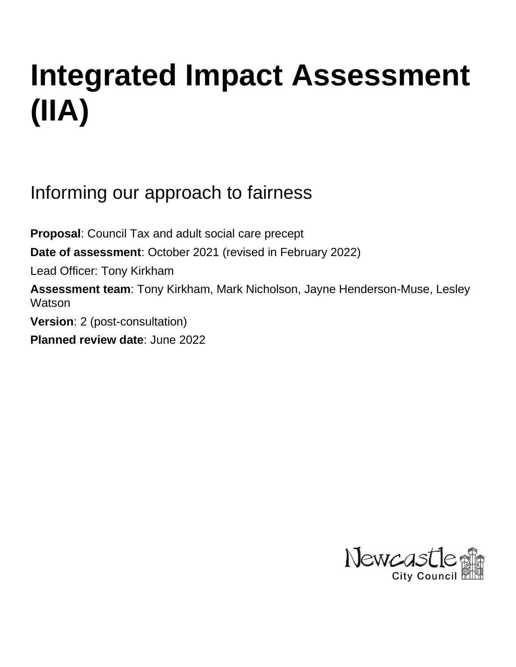# **Integrated Impact Assessment (IIA)**

Informing our approach to fairness

**Proposal**: Council Tax and adult social care precept **Date of assessment**: October 2021 (revised in February 2022) Lead Officer: Tony Kirkham **Assessment team**: Tony Kirkham, Mark Nicholson, Jayne Henderson-Muse, Lesley **Watson Version**: 2 (post-consultation) **Planned review date**: June 2022

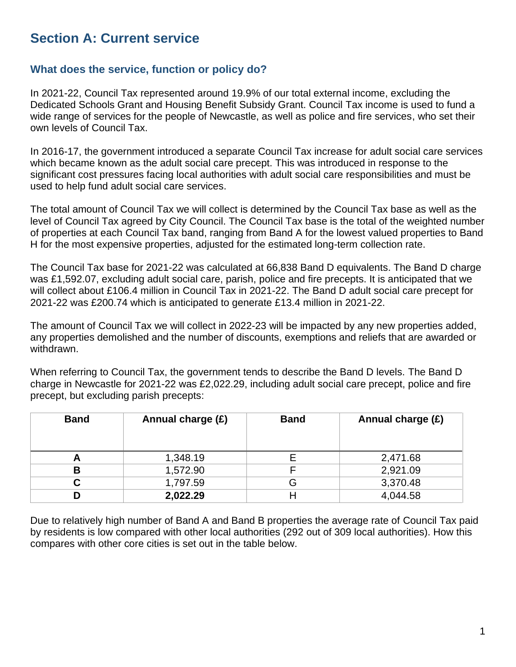# **Section A: Current service**

# **What does the service, function or policy do?**

In 2021-22, Council Tax represented around 19.9% of our total external income, excluding the Dedicated Schools Grant and Housing Benefit Subsidy Grant. Council Tax income is used to fund a wide range of services for the people of Newcastle, as well as police and fire services, who set their own levels of Council Tax.

In 2016-17, the government introduced a separate Council Tax increase for adult social care services which became known as the adult social care precept. This was introduced in response to the significant cost pressures facing local authorities with adult social care responsibilities and must be used to help fund adult social care services.

The total amount of Council Tax we will collect is determined by the Council Tax base as well as the level of Council Tax agreed by City Council. The Council Tax base is the total of the weighted number of properties at each Council Tax band, ranging from Band A for the lowest valued properties to Band H for the most expensive properties, adjusted for the estimated long-term collection rate.

The Council Tax base for 2021-22 was calculated at 66,838 Band D equivalents. The Band D charge was £1,592.07, excluding adult social care, parish, police and fire precepts. It is anticipated that we will collect about £106.4 million in Council Tax in 2021-22. The Band D adult social care precept for 2021-22 was £200.74 which is anticipated to generate £13.4 million in 2021-22.

The amount of Council Tax we will collect in 2022-23 will be impacted by any new properties added, any properties demolished and the number of discounts, exemptions and reliefs that are awarded or withdrawn.

When referring to Council Tax, the government tends to describe the Band D levels. The Band D charge in Newcastle for 2021-22 was £2,022.29, including adult social care precept, police and fire precept, but excluding parish precepts:

| <b>Band</b> | Annual charge (£) | <b>Band</b> | Annual charge (£) |
|-------------|-------------------|-------------|-------------------|
| Δ           | 1,348.19          |             | 2,471.68          |
| в           | 1,572.90          |             | 2,921.09          |
| С           | 1,797.59          | G           | 3,370.48          |
| D           | 2,022.29          |             | 4,044.58          |

Due to relatively high number of Band A and Band B properties the average rate of Council Tax paid by residents is low compared with other local authorities (292 out of 309 local authorities). How this compares with other core cities is set out in the table below.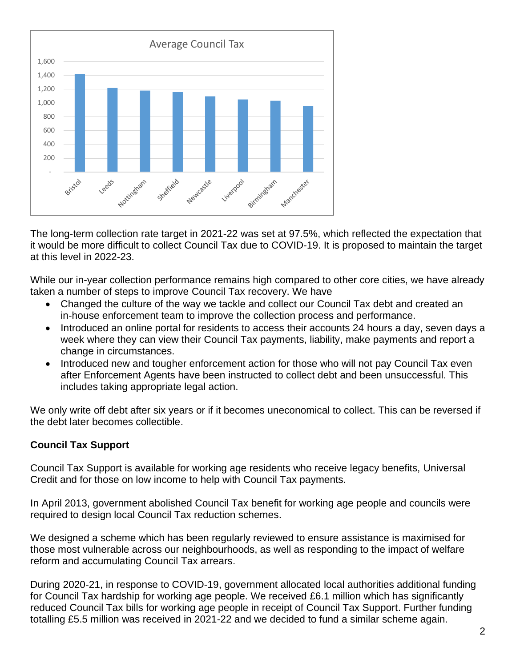

The long-term collection rate target in 2021-22 was set at 97.5%, which reflected the expectation that it would be more difficult to collect Council Tax due to COVID-19. It is proposed to maintain the target at this level in 2022-23.

While our in-year collection performance remains high compared to other core cities, we have already taken a number of steps to improve Council Tax recovery. We have

- Changed the culture of the way we tackle and collect our Council Tax debt and created an in-house enforcement team to improve the collection process and performance.
- Introduced an online portal for residents to access their accounts 24 hours a day, seven days a week where they can view their Council Tax payments, liability, make payments and report a change in circumstances.
- Introduced new and tougher enforcement action for those who will not pay Council Tax even after Enforcement Agents have been instructed to collect debt and been unsuccessful. This includes taking appropriate legal action.

We only write off debt after six years or if it becomes uneconomical to collect. This can be reversed if the debt later becomes collectible.

#### **Council Tax Support**

Council Tax Support is available for working age residents who receive legacy benefits, Universal Credit and for those on low income to help with Council Tax payments.

In April 2013, government abolished Council Tax benefit for working age people and councils were required to design local Council Tax reduction schemes.

We designed a scheme which has been regularly reviewed to ensure assistance is maximised for those most vulnerable across our neighbourhoods, as well as responding to the impact of welfare reform and accumulating Council Tax arrears.

During 2020-21, in response to COVID-19, government allocated local authorities additional funding for Council Tax hardship for working age people. We received £6.1 million which has significantly reduced Council Tax bills for working age people in receipt of Council Tax Support. Further funding totalling £5.5 million was received in 2021-22 and we decided to fund a similar scheme again.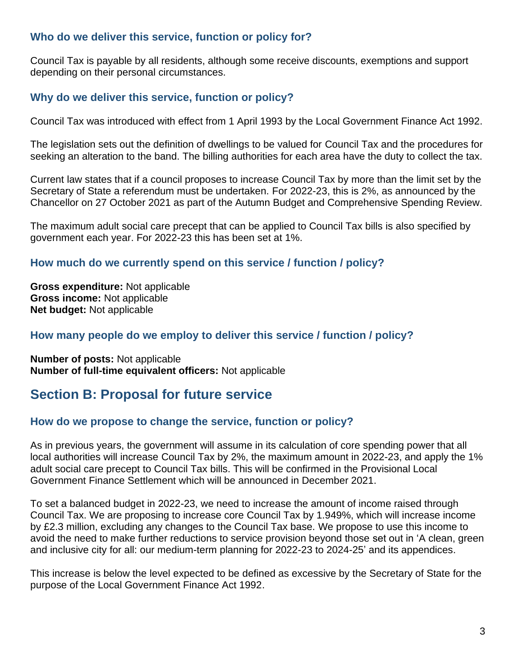## **Who do we deliver this service, function or policy for?**

Council Tax is payable by all residents, although some receive discounts, exemptions and support depending on their personal circumstances.

# **Why do we deliver this service, function or policy?**

Council Tax was introduced with effect from 1 April 1993 by the Local Government Finance Act 1992.

The legislation sets out the definition of dwellings to be valued for Council Tax and the procedures for seeking an alteration to the band. The billing authorities for each area have the duty to collect the tax.

Current law states that if a council proposes to increase Council Tax by more than the limit set by the Secretary of State a referendum must be undertaken. For 2022-23, this is 2%, as announced by the Chancellor on 27 October 2021 as part of the Autumn Budget and Comprehensive Spending Review.

The maximum adult social care precept that can be applied to Council Tax bills is also specified by government each year. For 2022-23 this has been set at 1%.

# **How much do we currently spend on this service / function / policy?**

**Gross expenditure:** Not applicable **Gross income:** Not applicable **Net budget:** Not applicable

# **How many people do we employ to deliver this service / function / policy?**

**Number of posts:** Not applicable **Number of full-time equivalent officers:** Not applicable

# **Section B: Proposal for future service**

# **How do we propose to change the service, function or policy?**

As in previous years, the government will assume in its calculation of core spending power that all local authorities will increase Council Tax by 2%, the maximum amount in 2022-23, and apply the 1% adult social care precept to Council Tax bills. This will be confirmed in the Provisional Local Government Finance Settlement which will be announced in December 2021.

To set a balanced budget in 2022-23, we need to increase the amount of income raised through Council Tax. We are proposing to increase core Council Tax by 1.949%, which will increase income by £2.3 million, excluding any changes to the Council Tax base. We propose to use this income to avoid the need to make further reductions to service provision beyond those set out in 'A clean, green and inclusive city for all: our medium-term planning for 2022-23 to 2024-25' and its appendices.

This increase is below the level expected to be defined as excessive by the Secretary of State for the purpose of the Local Government Finance Act 1992.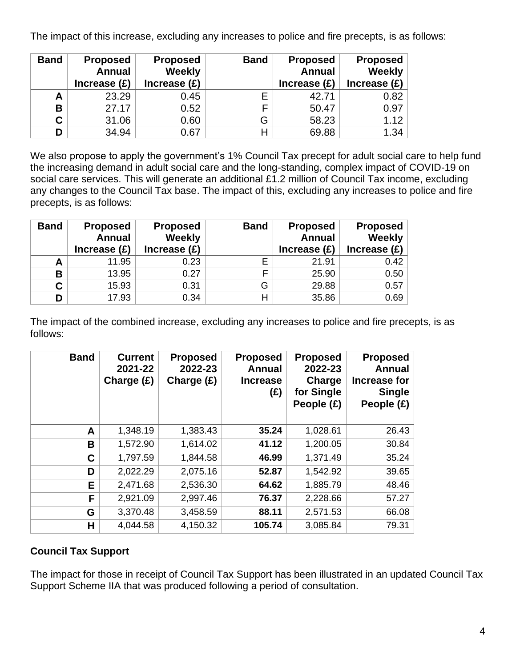The impact of this increase, excluding any increases to police and fire precepts, is as follows:

| <b>Band</b> | <b>Proposed</b> | <b>Proposed</b> | <b>Band</b> | <b>Proposed</b> | <b>Proposed</b> |
|-------------|-----------------|-----------------|-------------|-----------------|-----------------|
|             | <b>Annual</b>   | <b>Weekly</b>   |             | <b>Annual</b>   | Weekly          |
|             | Increase $(E)$  | Increase $(E)$  |             | Increase $(E)$  | Increase $(E)$  |
| A           | 23.29           | 0.45            |             | 42.71           | 0.82            |
| В           | 27.17           | 0.52            |             | 50.47           | 0.97            |
| C.          | 31.06           | 0.60            | G           | 58.23           | 1.12            |
| D           | 34.94           | 0.67            |             | 69.88           | 1.34            |

We also propose to apply the government's 1% Council Tax precept for adult social care to help fund the increasing demand in adult social care and the long-standing, complex impact of COVID-19 on social care services. This will generate an additional £1.2 million of Council Tax income, excluding any changes to the Council Tax base. The impact of this, excluding any increases to police and fire precepts, is as follows:

| <b>Band</b> | <b>Proposed</b><br><b>Annual</b><br>Increase $(E)$ | <b>Proposed</b><br><b>Weekly</b><br>Increase $(E)$ | <b>Band</b> | <b>Proposed</b><br><b>Annual</b><br>Increase $(E)$ | <b>Proposed</b><br>Weekly<br>Increase $(E)$ |
|-------------|----------------------------------------------------|----------------------------------------------------|-------------|----------------------------------------------------|---------------------------------------------|
|             | 11.95                                              | 0.23                                               | E           | 21.91                                              | 0.42                                        |
| B           | 13.95                                              | 0.27                                               | F           | 25.90                                              | 0.50                                        |
| C.          | 15.93                                              | 0.31                                               | G           | 29.88                                              | 0.57                                        |
| D           | 17.93                                              | 0.34                                               | Н           | 35.86                                              | 0.69                                        |

The impact of the combined increase, excluding any increases to police and fire precepts, is as follows:

| <b>Band</b> | <b>Current</b><br>2021-22<br>Charge $(E)$ | <b>Proposed</b><br>2022-23<br>Charge $(E)$ | <b>Proposed</b><br><b>Annual</b><br><b>Increase</b><br>(E) | <b>Proposed</b><br>2022-23<br>Charge<br>for Single<br>People $(E)$ | <b>Proposed</b><br><b>Annual</b><br><b>Increase for</b><br><b>Single</b><br>People (£) |
|-------------|-------------------------------------------|--------------------------------------------|------------------------------------------------------------|--------------------------------------------------------------------|----------------------------------------------------------------------------------------|
| A           | 1,348.19                                  | 1,383.43                                   | 35.24                                                      | 1,028.61                                                           | 26.43                                                                                  |
| B           | 1,572.90                                  | 1,614.02                                   | 41.12                                                      | 1,200.05                                                           | 30.84                                                                                  |
| C           | 1,797.59                                  | 1,844.58                                   | 46.99                                                      | 1,371.49                                                           | 35.24                                                                                  |
| D           | 2,022.29                                  | 2,075.16                                   | 52.87                                                      | 1,542.92                                                           | 39.65                                                                                  |
| E           | 2,471.68                                  | 2,536.30                                   | 64.62                                                      | 1,885.79                                                           | 48.46                                                                                  |
| F           | 2,921.09                                  | 2,997.46                                   | 76.37                                                      | 2,228.66                                                           | 57.27                                                                                  |
| G           | 3,370.48                                  | 3,458.59                                   | 88.11                                                      | 2,571.53                                                           | 66.08                                                                                  |
| н           | 4,044.58                                  | 4,150.32                                   | 105.74                                                     | 3,085.84                                                           | 79.31                                                                                  |

# **Council Tax Support**

The impact for those in receipt of Council Tax Support has been illustrated in an updated Council Tax Support Scheme IIA that was produced following a period of consultation.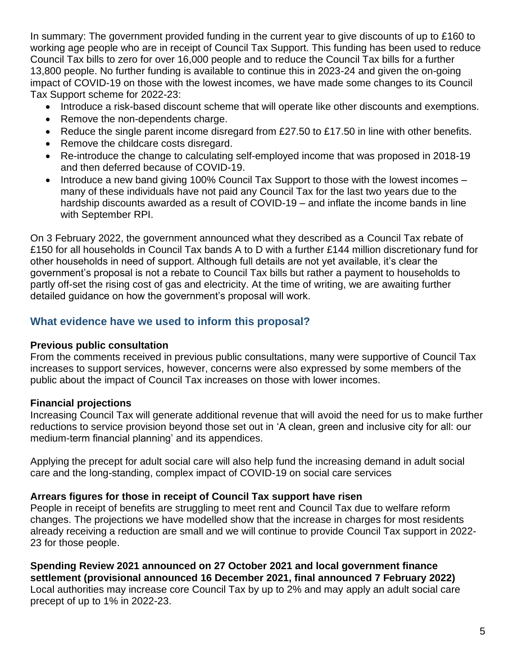In summary: The government provided funding in the current year to give discounts of up to £160 to working age people who are in receipt of Council Tax Support. This funding has been used to reduce Council Tax bills to zero for over 16,000 people and to reduce the Council Tax bills for a further 13,800 people. No further funding is available to continue this in 2023-24 and given the on-going impact of COVID-19 on those with the lowest incomes, we have made some changes to its Council Tax Support scheme for 2022-23:

- Introduce a risk-based discount scheme that will operate like other discounts and exemptions.
- Remove the non-dependents charge.
- Reduce the single parent income disregard from £27.50 to £17.50 in line with other benefits.
- Remove the childcare costs disregard.
- Re-introduce the change to calculating self-employed income that was proposed in 2018-19 and then deferred because of COVID-19.
- Introduce a new band giving 100% Council Tax Support to those with the lowest incomes many of these individuals have not paid any Council Tax for the last two years due to the hardship discounts awarded as a result of COVID-19 – and inflate the income bands in line with September RPI.

On 3 February 2022, the government announced what they described as a Council Tax rebate of £150 for all households in Council Tax bands A to D with a further £144 million discretionary fund for other households in need of support. Although full details are not yet available, it's clear the government's proposal is not a rebate to Council Tax bills but rather a payment to households to partly off-set the rising cost of gas and electricity. At the time of writing, we are awaiting further detailed guidance on how the government's proposal will work.

#### **What evidence have we used to inform this proposal?**

#### **Previous public consultation**

From the comments received in previous public consultations, many were supportive of Council Tax increases to support services, however, concerns were also expressed by some members of the public about the impact of Council Tax increases on those with lower incomes.

#### **Financial projections**

Increasing Council Tax will generate additional revenue that will avoid the need for us to make further reductions to service provision beyond those set out in 'A clean, green and inclusive city for all: our medium-term financial planning' and its appendices.

Applying the precept for adult social care will also help fund the increasing demand in adult social care and the long-standing, complex impact of COVID-19 on social care services

#### **Arrears figures for those in receipt of Council Tax support have risen**

People in receipt of benefits are struggling to meet rent and Council Tax due to welfare reform changes. The projections we have modelled show that the increase in charges for most residents already receiving a reduction are small and we will continue to provide Council Tax support in 2022- 23 for those people.

**Spending Review 2021 announced on 27 October 2021 and local government finance settlement (provisional announced 16 December 2021, final announced 7 February 2022)** Local authorities may increase core Council Tax by up to 2% and may apply an adult social care precept of up to 1% in 2022-23.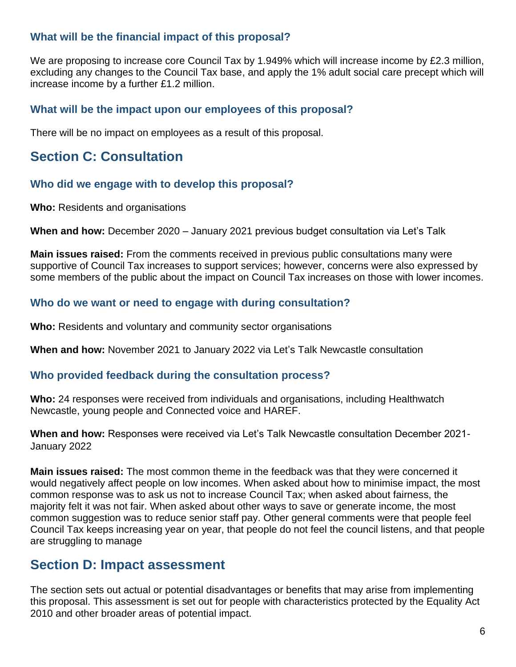# **What will be the financial impact of this proposal?**

We are proposing to increase core Council Tax by 1.949% which will increase income by £2.3 million, excluding any changes to the Council Tax base, and apply the 1% adult social care precept which will increase income by a further £1.2 million.

#### **What will be the impact upon our employees of this proposal?**

There will be no impact on employees as a result of this proposal.

# **Section C: Consultation**

#### **Who did we engage with to develop this proposal?**

**Who:** Residents and organisations

**When and how:** December 2020 – January 2021 previous budget consultation via Let's Talk

**Main issues raised:** From the comments received in previous public consultations many were supportive of Council Tax increases to support services; however, concerns were also expressed by some members of the public about the impact on Council Tax increases on those with lower incomes.

#### **Who do we want or need to engage with during consultation?**

**Who:** Residents and voluntary and community sector organisations

**When and how:** November 2021 to January 2022 via Let's Talk Newcastle consultation

#### **Who provided feedback during the consultation process?**

**Who:** 24 responses were received from individuals and organisations, including Healthwatch Newcastle, young people and Connected voice and HAREF.

**When and how:** Responses were received via Let's Talk Newcastle consultation December 2021- January 2022

**Main issues raised:** The most common theme in the feedback was that they were concerned it would negatively affect people on low incomes. When asked about how to minimise impact, the most common response was to ask us not to increase Council Tax; when asked about fairness, the majority felt it was not fair. When asked about other ways to save or generate income, the most common suggestion was to reduce senior staff pay. Other general comments were that people feel Council Tax keeps increasing year on year, that people do not feel the council listens, and that people are struggling to manage

# **Section D: Impact assessment**

The section sets out actual or potential disadvantages or benefits that may arise from implementing this proposal. This assessment is set out for people with characteristics protected by the Equality Act 2010 and other broader areas of potential impact.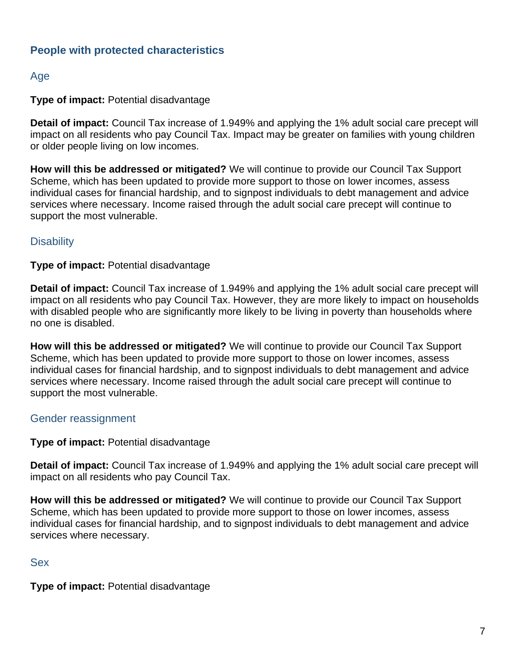# **People with protected characteristics**

# Age

#### **Type of impact:** Potential disadvantage

**Detail of impact:** Council Tax increase of 1.949% and applying the 1% adult social care precept will impact on all residents who pay Council Tax. Impact may be greater on families with young children or older people living on low incomes.

**How will this be addressed or mitigated?** We will continue to provide our Council Tax Support Scheme, which has been updated to provide more support to those on lower incomes, assess individual cases for financial hardship, and to signpost individuals to debt management and advice services where necessary. Income raised through the adult social care precept will continue to support the most vulnerable.

#### **Disability**

**Type of impact:** Potential disadvantage

**Detail of impact:** Council Tax increase of 1.949% and applying the 1% adult social care precept will impact on all residents who pay Council Tax. However, they are more likely to impact on households with disabled people who are significantly more likely to be living in poverty than households where no one is disabled.

**How will this be addressed or mitigated?** We will continue to provide our Council Tax Support Scheme, which has been updated to provide more support to those on lower incomes, assess individual cases for financial hardship, and to signpost individuals to debt management and advice services where necessary. Income raised through the adult social care precept will continue to support the most vulnerable.

#### Gender reassignment

**Type of impact:** Potential disadvantage

**Detail of impact:** Council Tax increase of 1.949% and applying the 1% adult social care precept will impact on all residents who pay Council Tax.

**How will this be addressed or mitigated?** We will continue to provide our Council Tax Support Scheme, which has been updated to provide more support to those on lower incomes, assess individual cases for financial hardship, and to signpost individuals to debt management and advice services where necessary.

#### Sex

**Type of impact:** Potential disadvantage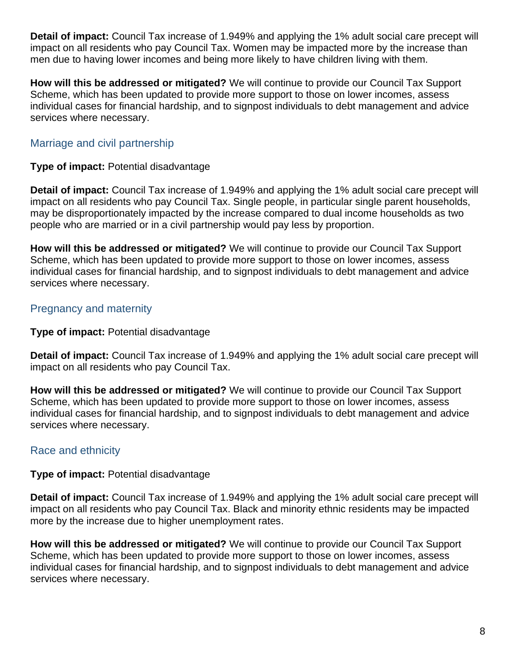**Detail of impact:** Council Tax increase of 1.949% and applying the 1% adult social care precept will impact on all residents who pay Council Tax. Women may be impacted more by the increase than men due to having lower incomes and being more likely to have children living with them.

**How will this be addressed or mitigated?** We will continue to provide our Council Tax Support Scheme, which has been updated to provide more support to those on lower incomes, assess individual cases for financial hardship, and to signpost individuals to debt management and advice services where necessary.

# Marriage and civil partnership

### **Type of impact:** Potential disadvantage

**Detail of impact:** Council Tax increase of 1.949% and applying the 1% adult social care precept will impact on all residents who pay Council Tax. Single people, in particular single parent households, may be disproportionately impacted by the increase compared to dual income households as two people who are married or in a civil partnership would pay less by proportion.

**How will this be addressed or mitigated?** We will continue to provide our Council Tax Support Scheme, which has been updated to provide more support to those on lower incomes, assess individual cases for financial hardship, and to signpost individuals to debt management and advice services where necessary.

# Pregnancy and maternity

## **Type of impact:** Potential disadvantage

**Detail of impact:** Council Tax increase of 1.949% and applying the 1% adult social care precept will impact on all residents who pay Council Tax.

**How will this be addressed or mitigated?** We will continue to provide our Council Tax Support Scheme, which has been updated to provide more support to those on lower incomes, assess individual cases for financial hardship, and to signpost individuals to debt management and advice services where necessary.

# Race and ethnicity

# **Type of impact:** Potential disadvantage

**Detail of impact:** Council Tax increase of 1.949% and applying the 1% adult social care precept will impact on all residents who pay Council Tax. Black and minority ethnic residents may be impacted more by the increase due to higher unemployment rates.

**How will this be addressed or mitigated?** We will continue to provide our Council Tax Support Scheme, which has been updated to provide more support to those on lower incomes, assess individual cases for financial hardship, and to signpost individuals to debt management and advice services where necessary.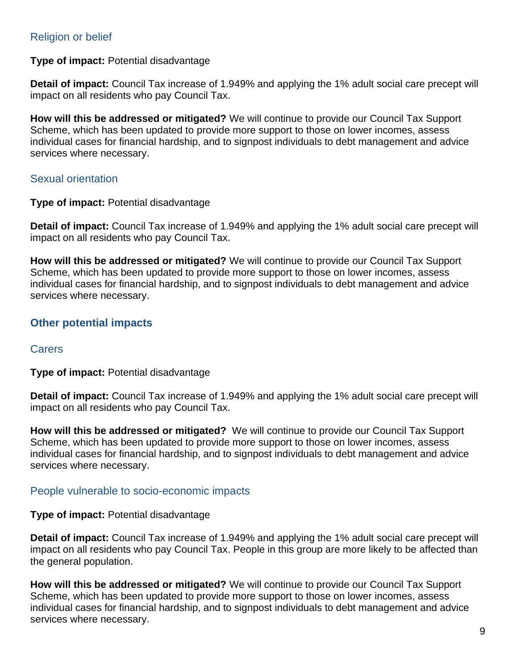# Religion or belief

#### **Type of impact:** Potential disadvantage

**Detail of impact:** Council Tax increase of 1.949% and applying the 1% adult social care precept will impact on all residents who pay Council Tax.

**How will this be addressed or mitigated?** We will continue to provide our Council Tax Support Scheme, which has been updated to provide more support to those on lower incomes, assess individual cases for financial hardship, and to signpost individuals to debt management and advice services where necessary.

#### Sexual orientation

#### **Type of impact:** Potential disadvantage

**Detail of impact:** Council Tax increase of 1.949% and applying the 1% adult social care precept will impact on all residents who pay Council Tax.

**How will this be addressed or mitigated?** We will continue to provide our Council Tax Support Scheme, which has been updated to provide more support to those on lower incomes, assess individual cases for financial hardship, and to signpost individuals to debt management and advice services where necessary.

# **Other potential impacts**

#### **Carers**

**Type of impact:** Potential disadvantage

**Detail of impact:** Council Tax increase of 1.949% and applying the 1% adult social care precept will impact on all residents who pay Council Tax.

**How will this be addressed or mitigated?** We will continue to provide our Council Tax Support Scheme, which has been updated to provide more support to those on lower incomes, assess individual cases for financial hardship, and to signpost individuals to debt management and advice services where necessary.

#### People vulnerable to socio-economic impacts

#### **Type of impact:** Potential disadvantage

**Detail of impact:** Council Tax increase of 1.949% and applying the 1% adult social care precept will impact on all residents who pay Council Tax. People in this group are more likely to be affected than the general population.

**How will this be addressed or mitigated?** We will continue to provide our Council Tax Support Scheme, which has been updated to provide more support to those on lower incomes, assess individual cases for financial hardship, and to signpost individuals to debt management and advice services where necessary.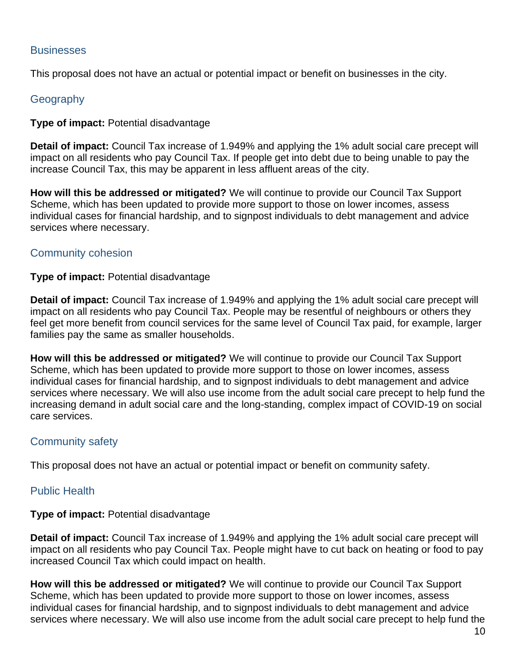#### **Businesses**

This proposal does not have an actual or potential impact or benefit on businesses in the city.

## **Geography**

#### **Type of impact:** Potential disadvantage

**Detail of impact:** Council Tax increase of 1.949% and applying the 1% adult social care precept will impact on all residents who pay Council Tax. If people get into debt due to being unable to pay the increase Council Tax, this may be apparent in less affluent areas of the city.

**How will this be addressed or mitigated?** We will continue to provide our Council Tax Support Scheme, which has been updated to provide more support to those on lower incomes, assess individual cases for financial hardship, and to signpost individuals to debt management and advice services where necessary.

#### Community cohesion

#### **Type of impact:** Potential disadvantage

**Detail of impact:** Council Tax increase of 1.949% and applying the 1% adult social care precept will impact on all residents who pay Council Tax. People may be resentful of neighbours or others they feel get more benefit from council services for the same level of Council Tax paid, for example, larger families pay the same as smaller households.

**How will this be addressed or mitigated?** We will continue to provide our Council Tax Support Scheme, which has been updated to provide more support to those on lower incomes, assess individual cases for financial hardship, and to signpost individuals to debt management and advice services where necessary. We will also use income from the adult social care precept to help fund the increasing demand in adult social care and the long-standing, complex impact of COVID-19 on social care services.

# Community safety

This proposal does not have an actual or potential impact or benefit on community safety.

#### Public Health

# **Type of impact:** Potential disadvantage

**Detail of impact:** Council Tax increase of 1.949% and applying the 1% adult social care precept will impact on all residents who pay Council Tax. People might have to cut back on heating or food to pay increased Council Tax which could impact on health.

**How will this be addressed or mitigated?** We will continue to provide our Council Tax Support Scheme, which has been updated to provide more support to those on lower incomes, assess individual cases for financial hardship, and to signpost individuals to debt management and advice services where necessary. We will also use income from the adult social care precept to help fund the